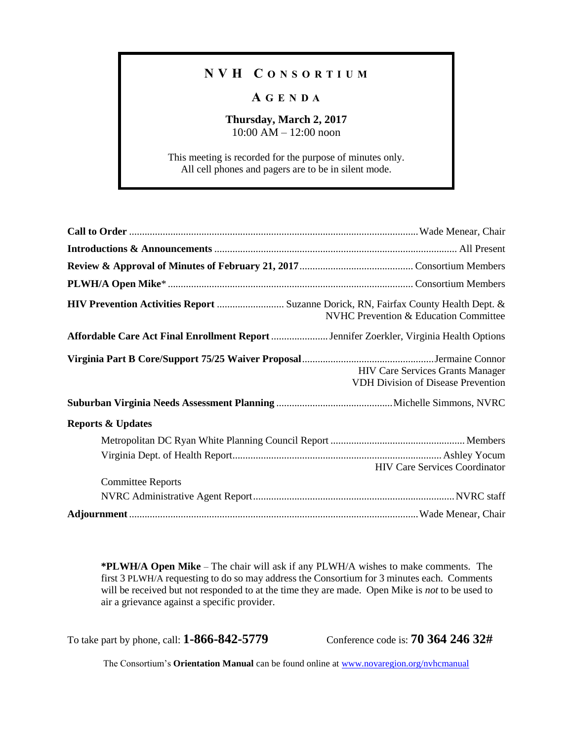## **N V H C O N S O R T I U M**

## **A G E N D A**

## **Thursday, March 2, 2017** 10:00 AM – 12:00 noon

This meeting is recorded for the purpose of minutes only. All cell phones and pagers are to be in silent mode.

| HIV Prevention Activities Report  Suzanne Dorick, RN, Fairfax County Health Dept. &     | <b>NVHC Prevention &amp; Education Committee</b>                                     |
|-----------------------------------------------------------------------------------------|--------------------------------------------------------------------------------------|
| Affordable Care Act Final Enrollment Report  Jennifer Zoerkler, Virginia Health Options |                                                                                      |
|                                                                                         | <b>HIV Care Services Grants Manager</b><br><b>VDH Division of Disease Prevention</b> |
|                                                                                         |                                                                                      |
| <b>Reports &amp; Updates</b>                                                            |                                                                                      |
|                                                                                         |                                                                                      |
|                                                                                         | <b>HIV Care Services Coordinator</b>                                                 |
| <b>Committee Reports</b>                                                                |                                                                                      |
|                                                                                         |                                                                                      |
|                                                                                         |                                                                                      |

**\*PLWH/A Open Mike** – The chair will ask if any PLWH/A wishes to make comments. The first 3 PLWH/A requesting to do so may address the Consortium for 3 minutes each. Comments will be received but not responded to at the time they are made. Open Mike is *not* to be used to air a grievance against a specific provider.

To take part by phone, call: **1-866-842-5779** Conference code is: **70 364 246 32#**

The Consortium's **Orientation Manual** can be found online at [www.novaregion.org/nvhcmanual](http://www.novaregion.org/nvhcmanual)